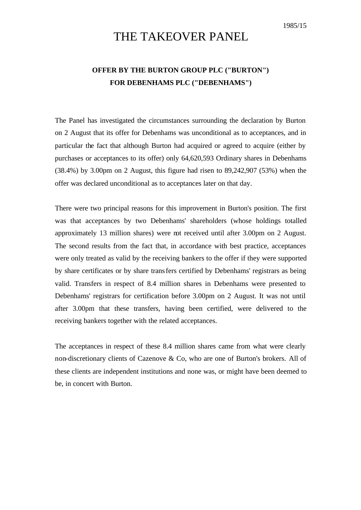## THE TAKEOVER PANEL

## **OFFER BY THE BURTON GROUP PLC ("BURTON") FOR DEBENHAMS PLC ("DEBENHAMS")**

The Panel has investigated the circumstances surrounding the declaration by Burton on 2 August that its offer for Debenhams was unconditional as to acceptances, and in particular the fact that although Burton had acquired or agreed to acquire (either by purchases or acceptances to its offer) only 64,620,593 Ordinary shares in Debenhams (38.4%) by 3.00pm on 2 August, this figure had risen to 89,242,907 (53%) when the offer was declared unconditional as to acceptances later on that day.

There were two principal reasons for this improvement in Burton's position. The first was that acceptances by two Debenhams' shareholders (whose holdings totalled approximately 13 million shares) were not received until after 3.00pm on 2 August. The second results from the fact that, in accordance with best practice, acceptances were only treated as valid by the receiving bankers to the offer if they were supported by share certificates or by share transfers certified by Debenhams' registrars as being valid. Transfers in respect of 8.4 million shares in Debenhams were presented to Debenhams' registrars for certification before 3.00pm on 2 August. It was not until after 3.00pm that these transfers, having been certified, were delivered to the receiving bankers together with the related acceptances.

The acceptances in respect of these 8.4 million shares came from what were clearly non-discretionary clients of Cazenove & Co, who are one of Burton's brokers. All of these clients are independent institutions and none was, or might have been deemed to be, in concert with Burton.